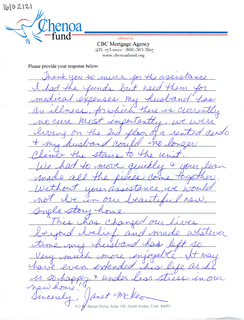$1602121$ 

Oa  $\epsilon$  -fund  $\epsilon$  -fund  $\epsilon$ 

CBC Mortgage Agency  $(435)$  273-0022  $(866)$ -563-3507 www.chenoafund.org

Please provide your response below:

Thank you so much for the assistance but need the Junds.  $n$ exper  $24.$  $\epsilon$ Mi Ther  $40$ whic  $\mathcal{O}$  $\overline{11}$ importa mido  $\overline{\mathcal{D}}$  $\mathcal{A}$ + Con  $up$ . mis an  $u_{1}$  $Q \triangleleft Q$ YZ)  $\epsilon$  $\overline{A}$  $\sigma$  $110111$  $-91\mu c$  $\sim$  $\ell\mathcal{V}$ . Dieels Com TOOX our as un our rea tory ch Dm  $a_{+}$  $\mathcal{C}_{-}$ haneca  $0<sup>1</sup>$  $ver$ </u>  $\mathcal{U}$ Ω  $\boldsymbol{\mathcal{M}}$ en rai od ches F rer r new onio ncerele 912 W. Baxter Drive, Suite 150 | South Jordan, Utah 84095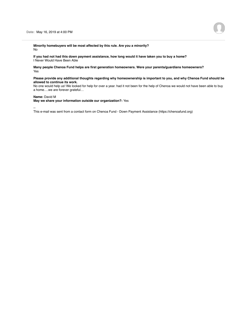**Minority homebuyers will be most affected by this rule. Are you a minority?** No

**If you had not had this down payment assistance, how long would it have taken you to buy a home?** I Never Would Have Been Able

**Many people Chenoa Fund helps are first generation homeowners. Were your parents/guardians homeowners?** Yes

## **Please provide any additional thoughts regarding why homeownership is important to you, and why Chenoa Fund should be allowed to continue its work.**

No one would help us! We looked for help for over a year. had it not been for the help of Chenoa we would not have been able to buy a home….we are forever grateful…

## **Name:** David M

**May we share your information outside our organization?:** Yes

--

This e-mail was sent from a contact form on Chenoa Fund - Down Payment Assistance (https://chenoafund.org)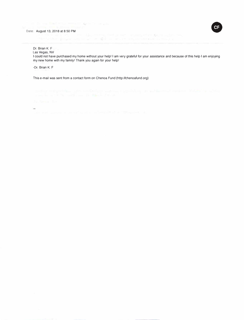

Dr. Brian K. F Las Vegas, NV

I could not have purchased my home without your help! I am very grateful for your assistance and because of this help I am enjoying my new home with my family! Thank you again for your help!

-Or. Brian K. F

ä.

This e-mail was sent from a contact form on Chenoa Fund (http://chenoafund.org)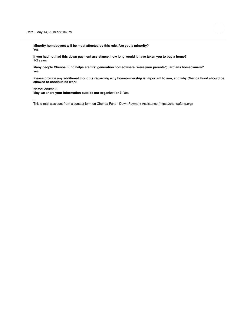**Minority homebuyers will be most affected by this rule. Are you a minority?** Yes

**If you had not had this down payment assistance, how long would it have taken you to buy a home?** 1-2 years

**Many people Chenoa Fund helps are first generation homeowners. Were your parents/guardians homeowners?** Yes

**Please provide any additional thoughts regarding why homeownership is important to you, and why Chenoa Fund should be allowed to continue its work.**

## **Name:** Andrea E

**May we share your information outside our organization?:** Yes

--

This e-mail was sent from a contact form on Chenoa Fund - Down Payment Assistance (https://chenoafund.org)